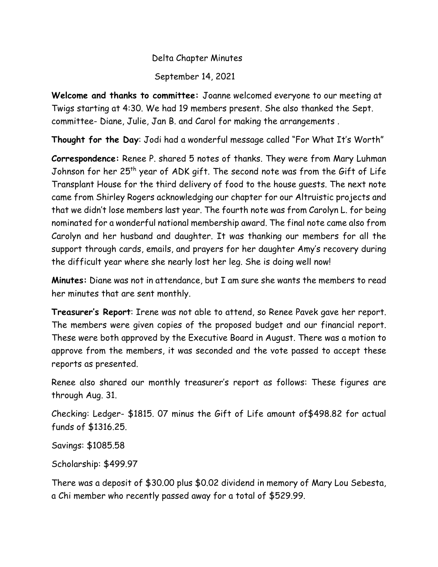## Delta Chapter Minutes September 14, 2021

**Welcome and thanks to committee:** Joanne welcomed everyone to our meeting at Twigs starting at 4:30. We had 19 members present. She also thanked the Sept. committee- Diane, Julie, Jan B. and Carol for making the arrangements .

**Thought for the Day**: Jodi had a wonderful message called "For What It's Worth"

**Correspondence:** Renee P. shared 5 notes of thanks. They were from Mary Luhman Johnson for her 25<sup>th</sup> year of ADK gift. The second note was from the Gift of Life Transplant House for the third delivery of food to the house guests. The next note came from Shirley Rogers acknowledging our chapter for our Altruistic projects and that we didn't lose members last year. The fourth note was from Carolyn L. for being nominated for a wonderful national membership award. The final note came also from Carolyn and her husband and daughter. It was thanking our members for all the support through cards, emails, and prayers for her daughter Amy's recovery during the difficult year where she nearly lost her leg. She is doing well now!

**Minutes:** Diane was not in attendance, but I am sure she wants the members to read her minutes that are sent monthly.

**Treasurer's Report**: Irene was not able to attend, so Renee Pavek gave her report. The members were given copies of the proposed budget and our financial report. These were both approved by the Executive Board in August. There was a motion to approve from the members, it was seconded and the vote passed to accept these reports as presented.

Renee also shared our monthly treasurer's report as follows: These figures are through Aug. 31.

Checking: Ledger- \$1815. 07 minus the Gift of Life amount of\$498.82 for actual funds of \$1316.25.

Savings: \$1085.58

Scholarship: \$499.97

There was a deposit of \$30.00 plus \$0.02 dividend in memory of Mary Lou Sebesta, a Chi member who recently passed away for a total of \$529.99.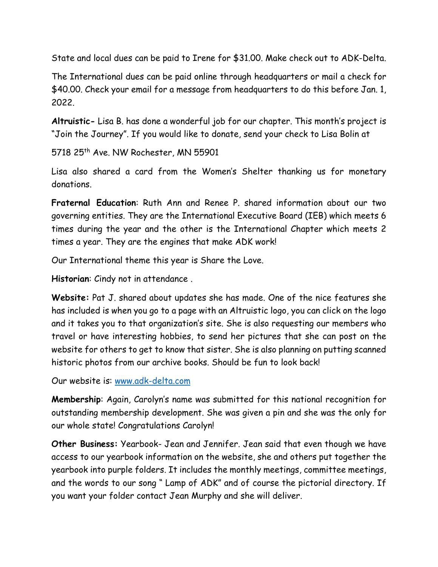State and local dues can be paid to Irene for \$31.00. Make check out to ADK-Delta.

The International dues can be paid online through headquarters or mail a check for \$40.00. Check your email for a message from headquarters to do this before Jan. 1, 2022.

**Altruistic-** Lisa B. has done a wonderful job for our chapter. This month's project is "Join the Journey". If you would like to donate, send your check to Lisa Bolin at

5718 25<sup>th</sup> Ave. NW Rochester, MN 55901

Lisa also shared a card from the Women's Shelter thanking us for monetary donations.

**Fraternal Education**: Ruth Ann and Renee P. shared information about our two governing entities. They are the International Executive Board (IEB) which meets 6 times during the year and the other is the International Chapter which meets 2 times a year. They are the engines that make ADK work!

Our International theme this year is Share the Love.

**Historian**: Cindy not in attendance .

**Website:** Pat J. shared about updates she has made. One of the nice features she has included is when you go to a page with an Altruistic logo, you can click on the logo and it takes you to that organization's site. She is also requesting our members who travel or have interesting hobbies, to send her pictures that she can post on the website for others to get to know that sister. She is also planning on putting scanned historic photos from our archive books. Should be fun to look back!

Our website is: [www.adk-delta.com](http://www.adk-delta.com/)

**Membership**: Again, Carolyn's name was submitted for this national recognition for outstanding membership development. She was given a pin and she was the only for our whole state! Congratulations Carolyn!

**Other Business:** Yearbook- Jean and Jennifer. Jean said that even though we have access to our yearbook information on the website, she and others put together the yearbook into purple folders. It includes the monthly meetings, committee meetings, and the words to our song " Lamp of ADK" and of course the pictorial directory. If you want your folder contact Jean Murphy and she will deliver.